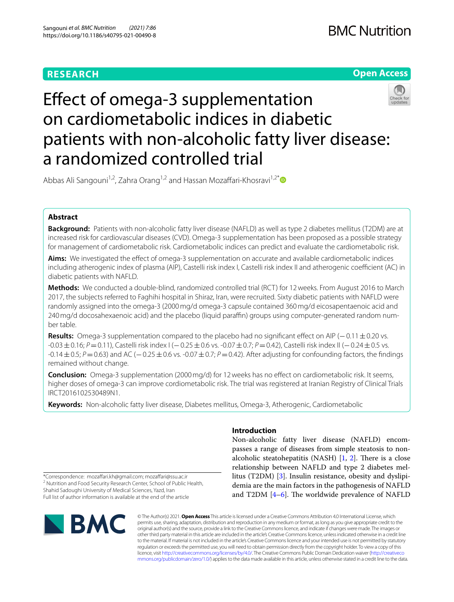#### **RESEARCH**



## Efect of omega-3 supplementation on cardiometabolic indices in diabetic patients with non-alcoholic fatty liver disease: a randomized controlled trial

Abbas Ali Sangouni<sup>1,2</sup>, Zahra Orang<sup>1,2</sup> and Hassan Mozaffari-Khosravi<sup>1,2[\\*](https://orcid.org/0000-0002-3513-1778)</sup> **■** 

#### **Abstract**

**Background:** Patients with non-alcoholic fatty liver disease (NAFLD) as well as type 2 diabetes mellitus (T2DM) are at increased risk for cardiovascular diseases (CVD). Omega-3 supplementation has been proposed as a possible strategy for management of cardiometabolic risk. Cardiometabolic indices can predict and evaluate the cardiometabolic risk.

Aims: We investigated the effect of omega-3 supplementation on accurate and available cardiometabolic indices including atherogenic index of plasma (AIP), Castelli risk index I, Castelli risk index II and atherogenic coefficient (AC) in diabetic patients with NAFLD.

**Methods:** We conducted a double-blind, randomized controlled trial (RCT) for 12weeks. From August 2016 to March 2017, the subjects referred to Faghihi hospital in Shiraz, Iran, were recruited. Sixty diabetic patients with NAFLD were randomly assigned into the omega-3 (2000mg/d omega-3 capsule contained 360mg/d eicosapentaenoic acid and 240 mg/d docosahexaenoic acid) and the placebo (liquid paraffin) groups using computer-generated random number table.

**Results:** Omega-3 supplementation compared to the placebo had no significant effect on AIP (−0.11±0.20 vs. -0.03 ± 0.16; *P* = 0.11), Castelli risk index I (−0.25 ± 0.6 vs. -0.07 ± 0.7; *P* = 0.42), Castelli risk index II (−0.24 ± 0.5 vs. -0.14±0.5; *P*=0.63) and AC (−0.25±0.6 vs. -0.07±0.7; *P*=0.42). After adjusting for confounding factors, the fndings remained without change.

**Conclusion:** Omega-3 supplementation (2000 mg/d) for 12 weeks has no effect on cardiometabolic risk. It seems, higher doses of omega-3 can improve cordiometabolic risk. The trial was registered at Iranian Registry of Clinical Trials IRCT2016102530489N1.

**Keywords:** Non-alcoholic fatty liver disease, Diabetes mellitus, Omega-3, Atherogenic, Cardiometabolic

\*Correspondence: mozafari.kh@gmail.com; mozafari@ssu.ac.ir <sup>2</sup> Nutrition and Food Security Research Center, School of Public Health, Shahid Sadoughi University of Medical Sciences, Yazd, Iran Full list of author information is available at the end of the article

# **NBMC**

#### **Introduction**

Non-alcoholic fatty liver disease (NAFLD) encompasses a range of diseases from simple steatosis to nonalcoholic steatohepatitis (NASH)  $[1, 2]$  $[1, 2]$  $[1, 2]$ . There is a close relationship between NAFLD and type 2 diabetes mellitus (T2DM) [\[3](#page-5-2)]. Insulin resistance, obesity and dyslipidemia are the main factors in the pathogenesis of NAFLD and T2DM  $[4-6]$  $[4-6]$  $[4-6]$ . The worldwide prevalence of NAFLD

© The Author(s) 2021. **Open Access** This article is licensed under a Creative Commons Attribution 4.0 International License, which permits use, sharing, adaptation, distribution and reproduction in any medium or format, as long as you give appropriate credit to the original author(s) and the source, provide a link to the Creative Commons licence, and indicate if changes were made. The images or other third party material in this article are included in the article's Creative Commons licence, unless indicated otherwise in a credit line to the material. If material is not included in the article's Creative Commons licence and your intended use is not permitted by statutory regulation or exceeds the permitted use, you will need to obtain permission directly from the copyright holder. To view a copy of this licence, visit [http://creativecommons.org/licenses/by/4.0/.](http://creativecommons.org/licenses/by/4.0/) The Creative Commons Public Domain Dedication waiver ([http://creativeco](http://creativecommons.org/publicdomain/zero/1.0/) [mmons.org/publicdomain/zero/1.0/](http://creativecommons.org/publicdomain/zero/1.0/)) applies to the data made available in this article, unless otherwise stated in a credit line to the data.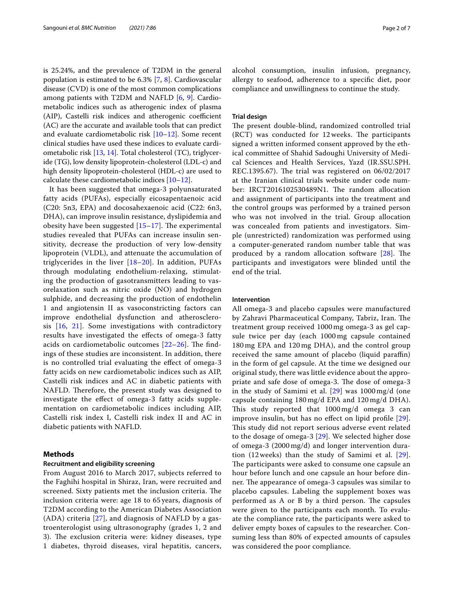is 25.24%, and the prevalence of T2DM in the general population is estimated to be 6.3% [\[7](#page-5-5), [8](#page-5-6)]. Cardiovascular disease (CVD) is one of the most common complications among patients with T2DM and NAFLD [[6,](#page-5-4) [9](#page-6-0)]. Cardiometabolic indices such as atherogenic index of plasma (AIP), Castelli risk indices and atherogenic coefficient (AC) are the accurate and available tools that can predict and evaluate cardiometabolic risk [[10–](#page-6-1)[12\]](#page-6-2). Some recent clinical studies have used these indices to evaluate cardiometabolic risk [[13](#page-6-3), [14\]](#page-6-4). Total cholesterol (TC), triglyceride (TG), low density lipoprotein-cholesterol (LDL-c) and high density lipoprotein-cholesterol (HDL-c) are used to calculate these cardiometabolic indices [\[10](#page-6-1)[–12\]](#page-6-2).

It has been suggested that omega-3 polyunsaturated fatty acids (PUFAs), especially eicosapentaenoic acid (C20: 5n3, EPA) and docosahexaenoic acid (C22: 6n3, DHA), can improve insulin resistance, dyslipidemia and obesity have been suggested  $[15-17]$  $[15-17]$  $[15-17]$ . The experimental studies revealed that PUFAs can increase insulin sensitivity, decrease the production of very low-density lipoprotein (VLDL), and attenuate the accumulation of triglycerides in the liver [[18](#page-6-7)–[20](#page-6-8)]. In addition, PUFAs through modulating endothelium-relaxing, stimulating the production of gasotransmitters leading to vasorelaxation such as nitric oxide (NO) and hydrogen sulphide, and decreasing the production of endothelin 1 and angiotensin II as vasoconstricting factors can improve endothelial dysfunction and atherosclerosis  $[16, 21]$  $[16, 21]$  $[16, 21]$ . Some investigations with contradictory results have investigated the efects of omega-3 fatty acids on cardiometabolic outcomes  $[22-26]$  $[22-26]$ . The findings of these studies are inconsistent. In addition, there is no controlled trial evaluating the efect of omega-3 fatty acids on new cardiometabolic indices such as AIP, Castelli risk indices and AC in diabetic patients with NAFLD. Therefore, the present study was designed to investigate the efect of omega-3 fatty acids supplementation on cardiometabolic indices including AIP, Castelli risk index I, Castelli risk index II and AC in diabetic patients with NAFLD.

#### **Methods**

#### **Recruitment and eligibility screening**

From August 2016 to March 2017, subjects referred to the Faghihi hospital in Shiraz, Iran, were recruited and screened. Sixty patients met the inclusion criteria. The inclusion criteria were: age 18 to 65 years, diagnosis of T2DM according to the American Diabetes Association (ADA) criteria [[27](#page-6-13)], and diagnosis of NAFLD by a gastroenterologist using ultrasonography (grades 1, 2 and 3). The exclusion criteria were: kidney diseases, type 1 diabetes, thyroid diseases, viral hepatitis, cancers, alcohol consumption, insulin infusion, pregnancy, allergy to seafood, adherence to a specifc diet, poor compliance and unwillingness to continue the study.

#### **Trial design**

The present double-blind, randomized controlled trial  $(RCT)$  was conducted for 12 weeks. The participants signed a written informed consent approved by the ethical committee of Shahid Sadoughi University of Medical Sciences and Health Services, Yazd (IR.SSU.SPH. REC.1395.67). The trial was registered on  $06/02/2017$ at the Iranian clinical trials website under code number: IRCT2016102530489N1. The random allocation and assignment of participants into the treatment and the control groups was performed by a trained person who was not involved in the trial. Group allocation was concealed from patients and investigators. Simple (unrestricted) randomization was performed using a computer-generated random number table that was produced by a random allocation software  $[28]$ . The participants and investigators were blinded until the end of the trial.

#### **Intervention**

All omega-3 and placebo capsules were manufactured by Zahravi Pharmaceutical Company, Tabriz, Iran. The treatment group received 1000 mg omega-3 as gel capsule twice per day (each 1000 mg capsule contained 180 mg EPA and 120 mg DHA), and the control group received the same amount of placebo (liquid paraffin) in the form of gel capsule. At the time we designed our original study, there was little evidence about the appropriate and safe dose of omega-3. The dose of omega-3 in the study of Samimi et al. [[29](#page-6-15)] was 1000 mg/d (one capsule containing 180 mg/d EPA and 120 mg/d DHA). This study reported that  $1000 \,\text{mg/d}$  omega 3 can improve insulin, but has no efect on lipid profle [[29](#page-6-15)]. This study did not report serious adverse event related to the dosage of omega-3 [\[29\]](#page-6-15). We selected higher dose of omega-3 (2000 mg/d) and longer intervention duration (12 weeks) than the study of Samimi et al. [[29](#page-6-15)]. The participants were asked to consume one capsule an hour before lunch and one capsule an hour before dinner. The appearance of omega-3 capsules was similar to placebo capsules. Labeling the supplement boxes was performed as A or B by a third person. The capsules were given to the participants each month. To evaluate the compliance rate, the participants were asked to deliver empty boxes of capsules to the researcher. Consuming less than 80% of expected amounts of capsules was considered the poor compliance.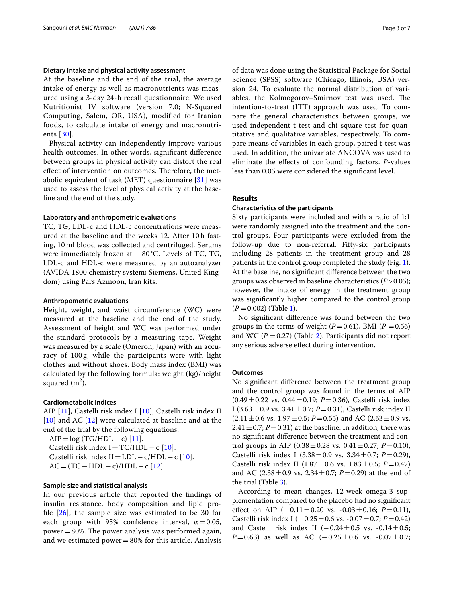#### **Dietary intake and physical activity assessment**

At the baseline and the end of the trial, the average intake of energy as well as macronutrients was measured using a 3-day 24-h recall questionnaire. We used Nutritionist IV software (version 7.0; N-Squared Computing, Salem, OR, USA), modified for Iranian foods, to calculate intake of energy and macronutrients [[30\]](#page-6-16).

Physical activity can independently improve various health outcomes. In other words, signifcant diference between groups in physical activity can distort the real effect of intervention on outcomes. Therefore, the metabolic equivalent of task (MET) questionnaire [\[31\]](#page-6-17) was used to assess the level of physical activity at the baseline and the end of the study.

#### **Laboratory and anthropometric evaluations**

TC, TG, LDL-c and HDL-c concentrations were measured at the baseline and the weeks 12. After 10h fasting, 10 ml blood was collected and centrifuged. Serums were immediately frozen at  $-80$  °C. Levels of TC, TG, LDL-c and HDL-c were measured by an autoanalyzer (AVIDA 1800 chemistry system; Siemens, United Kingdom) using Pars Azmoon, Iran kits.

#### **Anthropometric evaluations**

Height, weight, and waist circumference (WC) were measured at the baseline and the end of the study. Assessment of height and WC was performed under the standard protocols by a measuring tape. Weight was measured by a scale (Omeron, Japan) with an accuracy of 100 g, while the participants were with light clothes and without shoes. Body mass index (BMI) was calculated by the following formula: weight (kg)/height squared (m<sup>2</sup>).

#### **Cardiometabolic indices**

AIP [\[11](#page-6-18)], Castelli risk index I [\[10](#page-6-1)], Castelli risk index II [[10](#page-6-1)] and AC [[12](#page-6-2)] were calculated at baseline and at the end of the trial by the following equations:

 $AIP = log (TG/HDL - c)$  [[11\]](#page-6-18). Castelli risk index  $I = TC/HDL - c$  [[10](#page-6-1)]. Castelli risk index II=LDL – c/HDL – c [[10](#page-6-1)].  $AC = (TC - HDL - c)/HDL - c$  [[12\]](#page-6-2).

#### **Sample size and statistical analysis**

In our previous article that reported the fndings of insulin resistance, body composition and lipid profile  $[26]$  $[26]$ , the sample size was estimated to be 30 for each group with 95% confidence interval,  $\alpha = 0.05$ , power  $=80\%$ . The power analysis was performed again, and we estimated power $=80%$  for this article. Analysis of data was done using the Statistical Package for Social Science (SPSS) software (Chicago, Illinois, USA) version 24. To evaluate the normal distribution of variables, the Kolmogorov–Smirnov test was used. The intention-to-treat (ITT) approach was used. To compare the general characteristics between groups, we used independent t-test and chi-square test for quantitative and qualitative variables, respectively. To compare means of variables in each group, paired t-test was used. In addition, the univariate ANCOVA was used to eliminate the efects of confounding factors. *P*-values less than 0.05 were considered the signifcant level.

#### **Results**

#### **Characteristics of the participants**

Sixty participants were included and with a ratio of 1:1 were randomly assigned into the treatment and the control groups. Four participants were excluded from the follow-up due to non-referral. Fifty-six participants including 28 patients in the treatment group and 28 patients in the control group completed the study (Fig. [1](#page-3-0)). At the baseline, no signifcant diference between the two groups was observed in baseline characteristics (*P*>0.05); however, the intake of energy in the treatment group was signifcantly higher compared to the control group  $(P = 0.002)$  (Table [1\)](#page-4-0).

No signifcant diference was found between the two groups in the terms of weight ( $P=0.61$ ), BMI ( $P=0.56$ ) and WC ( $P = 0.27$  $P = 0.27$  $P = 0.27$ ) (Table 2). Participants did not report any serious adverse efect during intervention.

#### **Outcomes**

No signifcant diference between the treatment group and the control group was found in the terms of AIP (0.49±0.22 vs. 0.44±0.19; *P*=0.36), Castelli risk index I (3.63 $\pm$ 0.9 vs. 3.41 $\pm$ 0.7; *P*=0.31), Castelli risk index II  $(2.11 \pm 0.6 \text{ vs. } 1.97 \pm 0.5; P=0.55)$  and AC  $(2.63 \pm 0.9 \text{ vs. } 1.97 \pm 0.5; P=0.55)$  $2.41 \pm 0.7$ ; *P* = 0.31) at the baseline. In addition, there was no signifcant diference between the treatment and control groups in AIP  $(0.38 \pm 0.28 \text{ vs. } 0.41 \pm 0.27; P=0.10)$ , Castelli risk index I  $(3.38 \pm 0.9 \text{ vs. } 3.34 \pm 0.7; P=0.29)$ , Castelli risk index II  $(1.87 \pm 0.6 \text{ vs. } 1.83 \pm 0.5; P = 0.47)$ and AC  $(2.38 \pm 0.9 \text{ vs. } 2.34 \pm 0.7; P=0.29)$  at the end of the trial (Table [3\)](#page-5-7).

According to mean changes, 12-week omega-3 supplementation compared to the placebo had no signifcant efect on AIP (−0.11±0.20 vs. -0.03±0.16; *P*=0.11), Castelli risk index I (−0.25±0.6 vs. -0.07±0.7; *P*=0.42) and Castelli risk index II ( $-0.24 \pm 0.5$  vs.  $-0.14 \pm 0.5$ ; *P*=0.63) as well as AC (−0.25±0.6 vs. -0.07±0.7;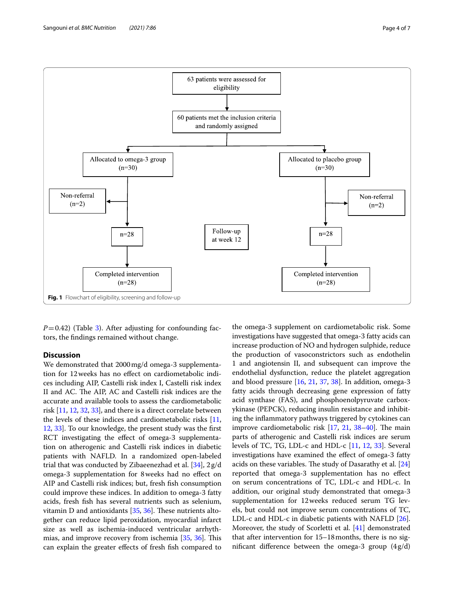

<span id="page-3-0"></span> $P=0.42$ ) (Table [3\)](#page-5-7). After adjusting for confounding factors, the fndings remained without change.

#### **Discussion**

We demonstrated that 2000mg/d omega-3 supplementation for 12weeks has no efect on cardiometabolic indices including AIP, Castelli risk index I, Castelli risk index II and AC. The AIP, AC and Castelli risk indices are the accurate and available tools to assess the cardiometabolic risk [\[11,](#page-6-18) [12,](#page-6-2) [32](#page-6-19), [33](#page-6-20)], and there is a direct correlate between the levels of these indices and cardiometabolic risks [[11](#page-6-18), [12](#page-6-2), [33](#page-6-20)]. To our knowledge, the present study was the frst RCT investigating the effect of omega-3 supplementation on atherogenic and Castelli risk indices in diabetic patients with NAFLD. In a randomized open-labeled trial that was conducted by Zibaeenezhad et al. [\[34](#page-6-21)], 2g/d omega-3 supplementation for 8weeks had no efect on AIP and Castelli risk indices; but, fresh fish consumption could improve these indices. In addition to omega-3 fatty acids, fresh fsh has several nutrients such as selenium, vitamin D and antioxidants  $[35, 36]$  $[35, 36]$  $[35, 36]$  $[35, 36]$ . These nutrients altogether can reduce lipid peroxidation, myocardial infarct size as well as ischemia-induced ventricular arrhyth-mias, and improve recovery from ischemia [[35,](#page-6-22) [36\]](#page-6-23). This can explain the greater efects of fresh fsh compared to

the omega-3 supplement on cardiometabolic risk. Some investigations have suggested that omega-3 fatty acids can increase production of NO and hydrogen sulphide, reduce the production of vasoconstrictors such as endothelin 1 and angiotensin II, and subsequent can improve the endothelial dysfunction, reduce the platelet aggregation and blood pressure [[16](#page-6-9), [21](#page-6-10), [37](#page-6-24), [38](#page-6-25)]. In addition, omega-3 fatty acids through decreasing gene expression of fatty acid synthase (FAS), and phosphoenolpyruvate carboxykinase (PEPCK), reducing insulin resistance and inhibiting the infammatory pathways triggered by cytokines can improve cardiometabolic risk  $[17, 21, 38-40]$  $[17, 21, 38-40]$  $[17, 21, 38-40]$  $[17, 21, 38-40]$  $[17, 21, 38-40]$  $[17, 21, 38-40]$ . The main parts of atherogenic and Castelli risk indices are serum levels of TC, TG, LDL-c and HDL-c [[11,](#page-6-18) [12,](#page-6-2) [33\]](#page-6-20). Several investigations have examined the efect of omega-3 fatty acids on these variables. The study of Dasarathy et al. [[24](#page-6-27)] reported that omega-3 supplementation has no efect on serum concentrations of TC, LDL-c and HDL-c. In addition, our original study demonstrated that omega-3 supplementation for 12weeks reduced serum TG levels, but could not improve serum concentrations of TC, LDL-c and HDL-c in diabetic patients with NAFLD [\[26](#page-6-12)]. Moreover, the study of Scorletti et al. [\[41\]](#page-6-28) demonstrated that after intervention for 15–18months, there is no significant difference between the omega-3 group  $(4g/d)$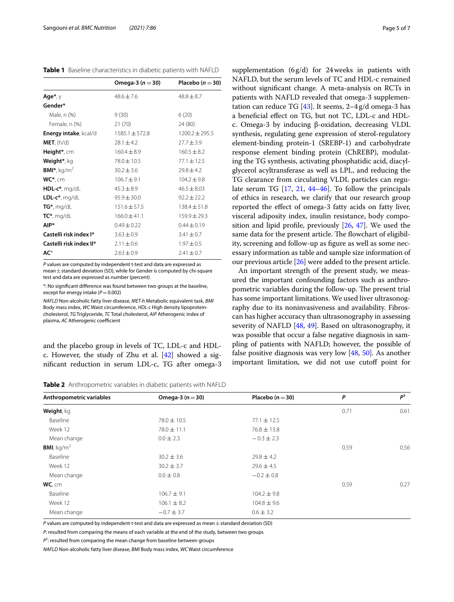<span id="page-4-0"></span>**Table 1** Baseline characteristics in diabetic patients with NAFLD

|                          | Omega-3 ( $n = 30$ ) | Placebo ( $n = 30$ ) |
|--------------------------|----------------------|----------------------|
| $Age*, y$                | $48.6 + 7.6$         | $48.8 \pm 8.7$       |
| Gender*                  |                      |                      |
| Male, n (%)              | 9(30)                | 6(20)                |
| Female, n (%)            | 21(70)               | 24 (80)              |
| Energy intake, kcal/d    | $1585.1 + 572.8$     | $1200.2 \pm 295.5$   |
| MET, (h/d)               | $28.1 \pm 4.2$       | $27.7 \pm 3.9$       |
| Height <sup>*</sup> , cm | $160.4 \pm 8.9$      | $160.5 \pm 8.2$      |
| Weight*, kg              | 78.0 ± 10.5          | $77.1 \pm 12.5$      |
| <b>BMI*</b> , $kg/m2$    | $30.2 \pm 3.6$       | $29.8 \pm 4.2$       |
| $WC^*$ , cm              | $106.7 \pm 9.1$      | $104.2 \pm 9.8$      |
| $HDL-c*, mg/dL$          | $45.3 \pm 8.9$       | $46.5 \pm 8.03$      |
| LDL- $c^*$ , mg/dL       | $95.9 \pm 30.0$      | $92.2 + 22.2$        |
| $TG^*$ , mg/dL           | $151.6 \pm 57.5$     | $138.4 \pm 51.8$     |
| $TC^*$ , mg/dL           | $166.0 \pm 41.1$     | $159.9 \pm 29.3$     |
| AIP*                     | $0.49 \pm 0.22$      | $0.44 \pm 0.19$      |
| Castelli risk index I*   | $3.63 \pm 0.9$       | $3.41 \pm 0.7$       |
| Castelli risk index II*  | $2.11 \pm 0.6$       | $1.97 \pm 0.5$       |
| AC*                      | $2.63 \pm 0.9$       | $2.41 + 0.7$         |
|                          |                      |                      |

*P* values are computed by independent t-test and data are expressed as mean $\pm$  standard deviation (SD), while for Gender is computed by chi-square test and data are expressed as number (percent)

\*: No signifcant diference was found between two groups at the baseline, except for energy intake ( $P=0.002$ )

*NAFLD* Non-alcoholic fatty liver disease, *MET-h* Metabolic equivalent task, *BMI* Body mass index, *WC* Waist circumference, *HDL-c* High density lipoproteincholesterol, *TG* Triglyceride, *TC* Total cholesterol, *AIP* Atherogenic index of plasma, *AC* Atherogenic coefficient

and the placebo group in levels of TC, LDL-c and HDLc. However, the study of Zhu et al.  $[42]$  showed a signifcant reduction in serum LDL-c, TG after omega-3

supplementation (6g/d) for 24weeks in patients with NAFLD, but the serum levels of TC and HDL-c remained without signifcant change. A meta-analysis on RCTs in patients with NAFLD revealed that omega-3 supplementation can reduce TG  $[43]$  $[43]$  $[43]$ . It seems, 2-4g/d omega-3 has a benefcial efect on TG, but not TC, LDL-c and HDLc. Omega-3 by inducing β-oxidation, decreasing VLDL synthesis, regulating gene expression of sterol-regulatory element-binding protein-1 (SREBP-1) and carbohydrate response element binding protein (ChREBP), modulating the TG synthesis, activating phosphatidic acid, diacylglycerol acyltransferase as well as LPL, and reducing the TG clearance from circulating VLDL particles can regulate serum TG [[17](#page-6-6), [21](#page-6-10), [44–](#page-6-31)[46\]](#page-6-32). To follow the principals of ethics in research, we clarify that our research group reported the efect of omega-3 fatty acids on fatty liver, visceral adiposity index, insulin resistance, body composition and lipid profle, previously [[26](#page-6-12), [47\]](#page-6-33). We used the same data for the present article. The flowchart of eligibility, screening and follow-up as fgure as well as some necessary information as table and sample size information of our previous article [[26\]](#page-6-12) were added to the present article.

An important strength of the present study, we measured the important confounding factors such as anthropometric variables during the follow-up. The present trial has some important limitations. We used liver ultrasonography due to its noninvasiveness and availability. Fibroscan has higher accuracy than ultrasonography in assessing severity of NAFLD [\[48](#page-6-34), [49\]](#page-6-35). Based on ultrasonography, it was possible that occur a false negative diagnosis in sampling of patients with NAFLD; however, the possible of false positive diagnosis was very low [\[48](#page-6-34), [50\]](#page-6-36). As another important limitation, we did not use cutoff point for

<span id="page-4-1"></span>

| <b>Table 2</b> Anthropometric variables in diabetic patients with NAFLD |  |  |  |  |  |
|-------------------------------------------------------------------------|--|--|--|--|--|
|-------------------------------------------------------------------------|--|--|--|--|--|

| Anthropometric variables | Omega-3 $(n=30)$ | Placebo ( $n = 30$ ) | P    | pt   |
|--------------------------|------------------|----------------------|------|------|
| Weight, kg               |                  |                      | 0.71 | 0.61 |
| Baseline                 | $78.0 \pm 10.5$  | $77.1 \pm 12.5$      |      |      |
| Week 12                  | $78.0 \pm 11.1$  | $76.8 \pm 13.8$      |      |      |
| Mean change              | $0.0 \pm 2.3$    | $-0.3 \pm 2.3$       |      |      |
| <b>BMI</b> , $kg/m2$     |                  |                      | 0.59 | 0.56 |
| Baseline                 | $30.2 \pm 3.6$   | $29.8 \pm 4.2$       |      |      |
| Week 12                  | $30.2 \pm 3.7$   | $29.6 \pm 4.5$       |      |      |
| Mean change              | $0.0 \pm 0.8$    | $-0.2 \pm 0.8$       |      |      |
| WC, cm                   |                  |                      | 0.59 | 0.27 |
| Baseline                 | $106.7 \pm 9.1$  | $104.2 \pm 9.8$      |      |      |
| Week 12                  | $106.1 \pm 8.2$  | $104.8 \pm 9.6$      |      |      |
| Mean change              | $-0.7 \pm 3.7$   | $0.6 \pm 3.2$        |      |      |

*P* values are computed by independent t-test and data are expressed as mean  $\pm$  standard deviation (SD)

*P*: resulted from comparing the means of each variable at the end of the study, between two groups

*P*† : resulted from comparing the mean change from baseline between groups

*NAFLD* Non-alcoholic fatty liver disease, *BMI* Body mass index, *WC* Waist circumference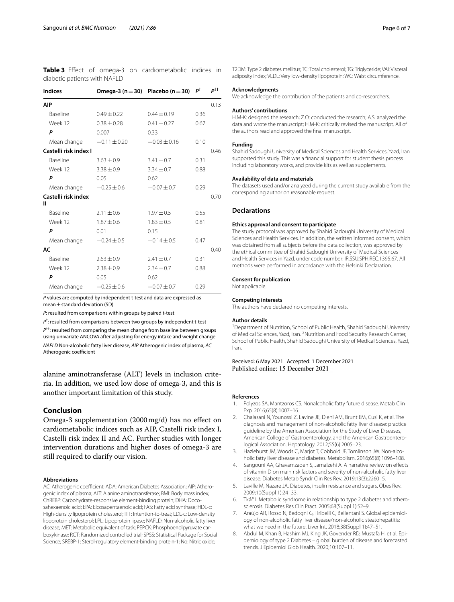<span id="page-5-7"></span>**Table 3** Efect of omega-3 on cardiometabolic indices in diabetic patients with NAFLD

| <b>Indices</b>           | Omega-3 ( $n = 30$ ) Placebo ( $n = 30$ ) |                  | $P^{\dagger}$ | $P^{\dagger\dagger}$ |
|--------------------------|-------------------------------------------|------------------|---------------|----------------------|
| AIP                      |                                           |                  |               | 0.13                 |
| <b>Baseline</b>          | $0.49 + 0.22$                             | $0.44 \pm 0.19$  | 0.36          |                      |
| Week 12                  | $0.38 \pm 0.28$                           | $0.41 \pm 0.27$  | 0.67          |                      |
| P                        | 0.007                                     | 0.33             |               |                      |
| Mean change              | $-0.11 \pm 0.20$                          | $-0.03 \pm 0.16$ | 0.10          |                      |
| Castelli risk index I    |                                           |                  |               | 0.46                 |
| <b>Baseline</b>          | $3.63 \pm 0.9$                            | $3.41 \pm 0.7$   | 0.31          |                      |
| Week 12                  | $3.38 \pm 0.9$                            | $3.34 \pm 0.7$   | 0.88          |                      |
| P                        | 0.05                                      | 0.62             |               |                      |
| Mean change              | $-0.25 \pm 0.6$                           | $-0.07 \pm 0.7$  | 0.29          |                      |
| Castelli risk index<br>Ш |                                           |                  |               | 0.70                 |
| Baseline                 | $2.11 + 0.6$                              | $1.97 \pm 0.5$   | 0.55          |                      |
| Week 12                  | $1.87 \pm 0.6$                            | $1.83 \pm 0.5$   | 0.81          |                      |
| P                        | 0.01                                      | 0.15             |               |                      |
| Mean change              | $-0.24 \pm 0.5$                           | $-0.14 \pm 0.5$  | 0.47          |                      |
| AC                       |                                           |                  |               | 0.40                 |
| <b>Baseline</b>          | $2.63 \pm 0.9$                            | $2.41 \pm 0.7$   | 0.31          |                      |
| Week 12                  | $2.38 \pm 0.9$                            | $2.34 \pm 0.7$   | 0.88          |                      |
| P                        | 0.05                                      | 0.62             |               |                      |
| Mean change              | $-0.25 \pm 0.6$                           | $-0.07 + 0.7$    | 0.29          |                      |

*P* values are computed by independent t-test and data are expressed as mean $\pm$  standard deviation (SD)

*P*: resulted from comparisons within groups by paired t-test

*P*† : resulted from comparisons between two groups by independent t-test *P*††: resulted from comparing the mean change from baseline between groups using univariate ANCOVA after adjusting for energy intake and weight change *NAFLD* Non-alcoholic fatty liver disease, *AIP* Atherogenic index of plasma, *AC* Atherogenic coefficient

alanine aminotransferase (ALT) levels in inclusion criteria. In addition, we used low dose of omega-3, and this is another important limitation of this study.

#### **Conclusion**

Omega-3 supplementation (2000mg/d) has no efect on cardiometabolic indices such as AIP, Castelli risk index I, Castelli risk index II and AC. Further studies with longer intervention durations and higher doses of omega-3 are still required to clarify our vision.

#### **Abbreviations**

AC: Atherogenic coefficient; ADA: American Diabetes Association; AIP: Atherogenic index of plasma; ALT: Alanine aminotransferase; BMI: Body mass index; ChREBP: Carbohydrate-responsive element-binding protein; DHA: Doco‑ sahexaenoic acid; EPA: Eicosapentaenoic acid; FAS: Fatty acid synthase; HDL-c: High-density lipoprotein cholesterol; ITT: Intention-to-treat; LDL-c: Low-density lipoprotein cholesterol; LPL: Lipoprotein lipase; NAFLD: Non-alcoholic fatty liver disease; MET: Metabolic equivalent of task; PEPCK: Phosphoenolpyruvate carboxykinase; RCT: Randomized controlled trial; SPSS: Statistical Package for Social Science; SREBP-1: Sterol-regulatory element-binding protein-1; No: Nitric oxide;

T2DM: Type 2 diabetes mellitus; TC: Total cholesterol; TG: Triglyceride; VAI: Visceral adiposity index; VLDL: Very low-density lipoprotein; WC: Waist circumference.

#### **Acknowledgments**

We acknowledge the contribution of the patients and co-researchers.

#### **Authors' contributions**

H.M-K: designed the research; Z.O: conducted the research; A.S: analyzed the data and wrote the manuscript; H.M-K: critically revised the manuscript. All of the authors read and approved the fnal manuscript.

#### **Funding**

Shahid Sadoughi University of Medical Sciences and Health Services, Yazd, Iran supported this study. This was a fnancial support for student thesis process including laboratory works, and provide kits as well as supplements.

#### **Availability of data and materials**

The datasets used and/or analyzed during the current study available from the corresponding author on reasonable request.

#### **Declarations**

#### **Ethics approval and consent to participate**

The study protocol was approved by Shahid Sadoughi University of Medical Sciences and Health Services. In addition, the written informed consent, which was obtained from all subjects before the data collection, was approved by the ethical committee of Shahid Sadoughi University of Medical Sciences and Health Services in Yazd, under code number: IR.SSU.SPH.REC.1395.67. All methods were performed in accordance with the Helsinki Declaration.

#### **Consent for publication**

Not applicable.

#### **Competing interests**

The authors have declared no competing interests.

#### **Author details**

<sup>1</sup> Department of Nutrition, School of Public Health, Shahid Sadoughi University of Medical Sciences, Yazd, Iran. <sup>2</sup> Nutrition and Food Security Research Center, School of Public Health, Shahid Sadoughi University of Medical Sciences, Yazd, Iran.

### Received: 6 May 2021 Accepted: 1 December 2021

#### **References**

- <span id="page-5-0"></span>1. Polyzos SA, Mantzoros CS. Nonalcoholic fatty future disease. Metab Clin Exp. 2016;65(8):1007–16.
- <span id="page-5-1"></span>2. Chalasani N, Younossi Z, Lavine JE, Diehl AM, Brunt EM, Cusi K, et al. The diagnosis and management of non-alcoholic fatty liver disease: practice guideline by the American Association for the Study of Liver Diseases, American College of Gastroenterology, and the American Gastroenterological Association. Hepatology. 2012;55(6):2005–23.
- <span id="page-5-2"></span>3. Hazlehurst JM, Woods C, Marjot T, Cobbold JF, Tomlinson JW. Non-alcoholic fatty liver disease and diabetes. Metabolism. 2016;65(8):1096–108.
- <span id="page-5-3"></span>4. Sangouni AA, Ghavamzadeh S, Jamalzehi A. A narrative review on efects of vitamin D on main risk factors and severity of non-alcoholic fatty liver disease. Diabetes Metab Syndr Clin Res Rev. 2019;13(3):2260–5.
- 5. Laville M, Nazare JA. Diabetes, insulin resistance and sugars. Obes Rev. 2009;10(Suppl 1):24–33.
- <span id="page-5-4"></span>6. Tkáč I. Metabolic syndrome in relationship to type 2 diabetes and atherosclerosis. Diabetes Res Clin Pract. 2005;68(Suppl 1):S2–9.
- <span id="page-5-5"></span>Araújo AR, Rosso N, Bedogni G, Tiribelli C, Bellentani S. Global epidemiology of non-alcoholic fatty liver disease/non-alcoholic steatohepatitis: what we need in the future. Liver Int. 2018;38(Suppl 1):47–51.
- <span id="page-5-6"></span>8. Abdul M, Khan B, Hashim MJ, King JK, Govender RD, Mustafa H, et al. Epidemiology of type 2 Diabetes – global burden of disease and forecasted trends. J Epidemiol Glob Health. 2020;10:107–11.